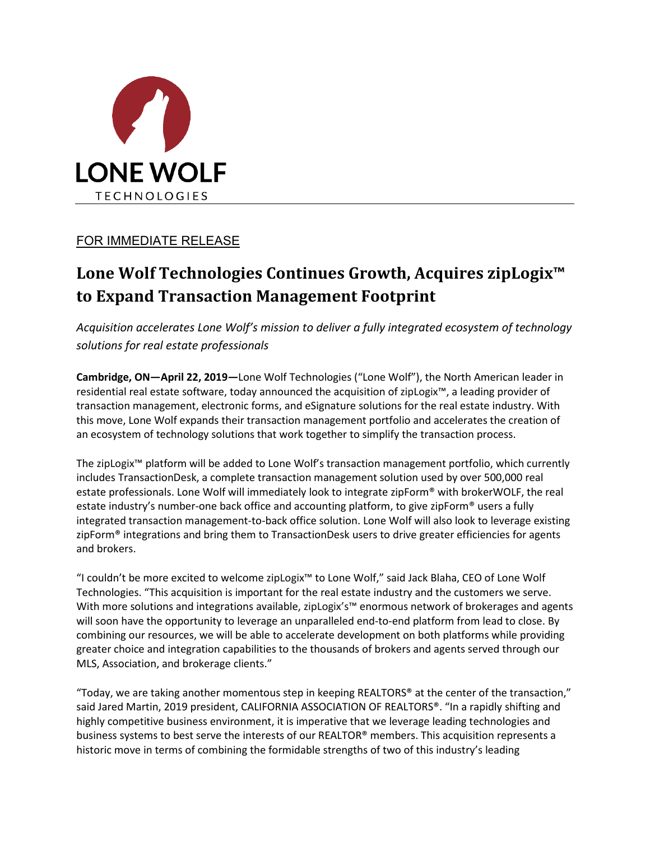

## FOR IMMEDIATE RELEASE

# **Lone Wolf Technologies Continues Growth, Acquires zipLogix™ to Expand Transaction Management Footprint**

*Acquisition accelerates Lone Wolf's mission to deliver a fully integrated ecosystem of technology solutions for real estate professionals*

**Cambridge, ON—April 22, 2019—**Lone Wolf Technologies ("Lone Wolf"), the North American leader in residential real estate software, today announced the acquisition of zipLogix™, a leading provider of transaction management, electronic forms, and eSignature solutions for the real estate industry. With this move, Lone Wolf expands their transaction management portfolio and accelerates the creation of an ecosystem of technology solutions that work together to simplify the transaction process.

The zipLogix™ platform will be added to Lone Wolf's transaction management portfolio, which currently includes TransactionDesk, a complete transaction management solution used by over 500,000 real estate professionals. Lone Wolf will immediately look to integrate zipForm® with brokerWOLF, the real estate industry's number-one back office and accounting platform, to give zipForm® users a fully integrated transaction management-to-back office solution. Lone Wolf will also look to leverage existing zipForm<sup>®</sup> integrations and bring them to TransactionDesk users to drive greater efficiencies for agents and brokers.

"I couldn't be more excited to welcome zipLogix™ to Lone Wolf," said Jack Blaha, CEO of Lone Wolf Technologies. "This acquisition is important for the real estate industry and the customers we serve. With more solutions and integrations available, zipLogix's™ enormous network of brokerages and agents will soon have the opportunity to leverage an unparalleled end-to-end platform from lead to close. By combining our resources, we will be able to accelerate development on both platforms while providing greater choice and integration capabilities to the thousands of brokers and agents served through our MLS, Association, and brokerage clients."

"Today, we are taking another momentous step in keeping REALTORS® at the center of the transaction," said Jared Martin, 2019 president, CALIFORNIA ASSOCIATION OF REALTORS®. "In a rapidly shifting and highly competitive business environment, it is imperative that we leverage leading technologies and business systems to best serve the interests of our REALTOR® members. This acquisition represents a historic move in terms of combining the formidable strengths of two of this industry's leading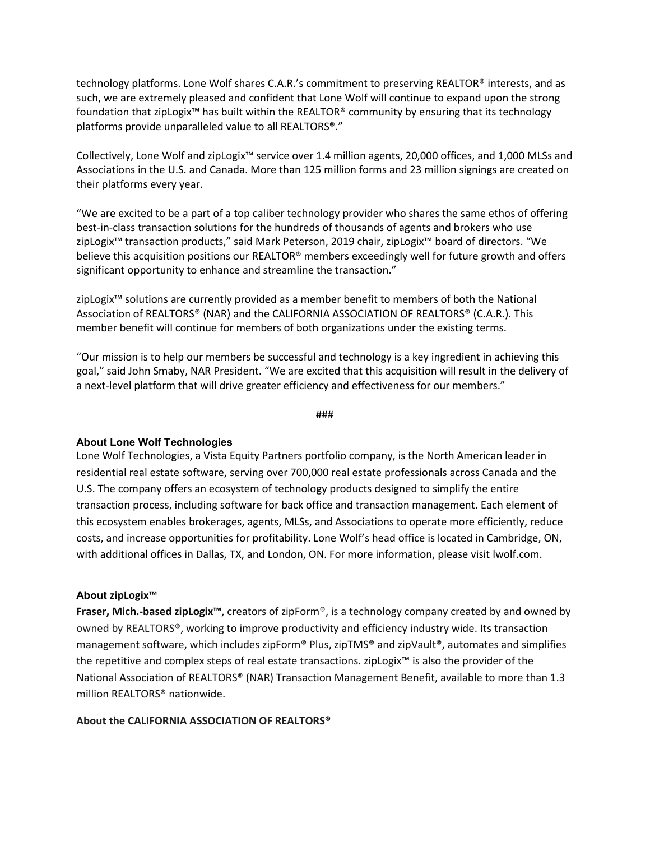technology platforms. Lone Wolf shares C.A.R.'s commitment to preserving REALTOR® interests, and as such, we are extremely pleased and confident that Lone Wolf will continue to expand upon the strong foundation that zipLogix™ has built within the REALTOR® community by ensuring that its technology platforms provide unparalleled value to all REALTORS®."

Collectively, Lone Wolf and zipLogix™ service over 1.4 million agents, 20,000 offices, and 1,000 MLSs and Associations in the U.S. and Canada. More than 125 million forms and 23 million signings are created on their platforms every year.

"We are excited to be a part of a top caliber technology provider who shares the same ethos of offering best-in-class transaction solutions for the hundreds of thousands of agents and brokers who use zipLogix™ transaction products," said Mark Peterson, 2019 chair, zipLogix™ board of directors. "We believe this acquisition positions our REALTOR® members exceedingly well for future growth and offers significant opportunity to enhance and streamline the transaction."

zipLogix™ solutions are currently provided as a member benefit to members of both the National Association of REALTORS® (NAR) and the CALIFORNIA ASSOCIATION OF REALTORS® (C.A.R.). This member benefit will continue for members of both organizations under the existing terms.

"Our mission is to help our members be successful and technology is a key ingredient in achieving this goal," said John Smaby, NAR President. "We are excited that this acquisition will result in the delivery of a next-level platform that will drive greater efficiency and effectiveness for our members."

###

### **About Lone Wolf Technologies**

Lone Wolf Technologies, a Vista Equity Partners portfolio company, is the North American leader in residential real estate software, serving over 700,000 real estate professionals across Canada and the U.S. The company offers an ecosystem of technology products designed to simplify the entire transaction process, including software for back office and transaction management. Each element of this ecosystem enables brokerages, agents, MLSs, and Associations to operate more efficiently, reduce costs, and increase opportunities for profitability. Lone Wolf's head office is located in Cambridge, ON, with additional offices in Dallas, TX, and London, ON. For more information, please visit lwolf.com.

### **About zipLogix™**

**Fraser, Mich.-based zipLogix™**, creators of zipForm®, is a technology company created by and owned by owned by REALTORS®, working to improve productivity and efficiency industry wide. Its transaction management software, which includes zipForm® Plus, zipTMS® and zipVault®, automates and simplifies the repetitive and complex steps of real estate transactions. zipLogix™ is also the provider of the National Association of REALTORS® (NAR) Transaction Management Benefit, available to more than 1.3 million REALTORS® nationwide.

### **About the CALIFORNIA ASSOCIATION OF REALTORS®**